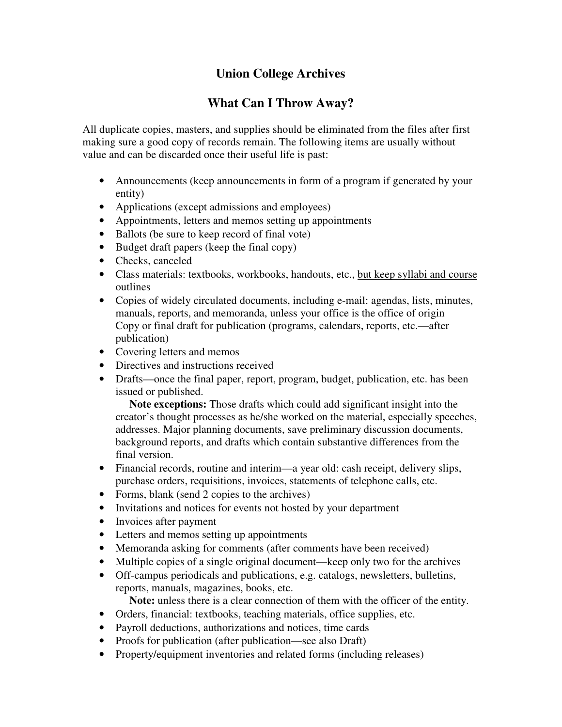## **Union College Archives**

## **What Can I Throw Away?**

All duplicate copies, masters, and supplies should be eliminated from the files after first making sure a good copy of records remain. The following items are usually without value and can be discarded once their useful life is past:

- Announcements (keep announcements in form of a program if generated by your entity)
- Applications (except admissions and employees)
- Appointments, letters and memos setting up appointments
- Ballots (be sure to keep record of final vote)
- Budget draft papers (keep the final copy)
- Checks, canceled
- Class materials: textbooks, workbooks, handouts, etc., but keep syllabi and course outlines
- Copies of widely circulated documents, including e-mail: agendas, lists, minutes, manuals, reports, and memoranda, unless your office is the office of origin Copy or final draft for publication (programs, calendars, reports, etc.—after publication)
- Covering letters and memos
- Directives and instructions received
- Drafts—once the final paper, report, program, budget, publication, etc. has been issued or published.

 **Note exceptions:** Those drafts which could add significant insight into the creator's thought processes as he/she worked on the material, especially speeches, addresses. Major planning documents, save preliminary discussion documents, background reports, and drafts which contain substantive differences from the final version.

- Financial records, routine and interim—a year old: cash receipt, delivery slips, purchase orders, requisitions, invoices, statements of telephone calls, etc.
- Forms, blank (send 2 copies to the archives)
- Invitations and notices for events not hosted by your department
- Invoices after payment
- Letters and memos setting up appointments
- Memoranda asking for comments (after comments have been received)
- Multiple copies of a single original document—keep only two for the archives
- Off-campus periodicals and publications, e.g. catalogs, newsletters, bulletins, reports, manuals, magazines, books, etc.
	- **Note:** unless there is a clear connection of them with the officer of the entity.
- Orders, financial: textbooks, teaching materials, office supplies, etc.
- Payroll deductions, authorizations and notices, time cards
- Proofs for publication (after publication—see also Draft)
- Property/equipment inventories and related forms (including releases)